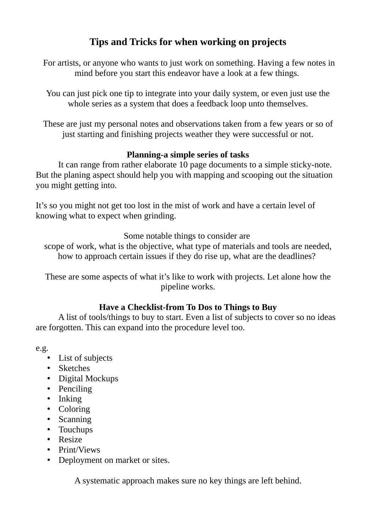# **Tips and Tricks for when working on projects**

 For artists, or anyone who wants to just work on something. Having a few notes in mind before you start this endeavor have a look at a few things.

You can just pick one tip to integrate into your daily system, or even just use the whole series as a system that does a feedback loop unto themselves.

These are just my personal notes and observations taken from a few years or so of just starting and finishing projects weather they were successful or not.

## **Planning-a simple series of tasks**

It can range from rather elaborate 10 page documents to a simple sticky-note. But the planing aspect should help you with mapping and scooping out the situation you might getting into.

It's so you might not get too lost in the mist of work and have a certain level of knowing what to expect when grinding.

Some notable things to consider are

scope of work, what is the objective, what type of materials and tools are needed, how to approach certain issues if they do rise up, what are the deadlines?

These are some aspects of what it's like to work with projects. Let alone how the pipeline works.

## **Have a Checklist-from To Dos to Things to Buy**

A list of tools/things to buy to start. Even a list of subjects to cover so no ideas are forgotten. This can expand into the procedure level too.

e.g.

- List of subjects
- Sketches
- Digital Mockups
- Penciling
- Inking
- Coloring
- Scanning
- Touchups
- Resize
- Print/Views
- Deployment on market or sites.

A systematic approach makes sure no key things are left behind.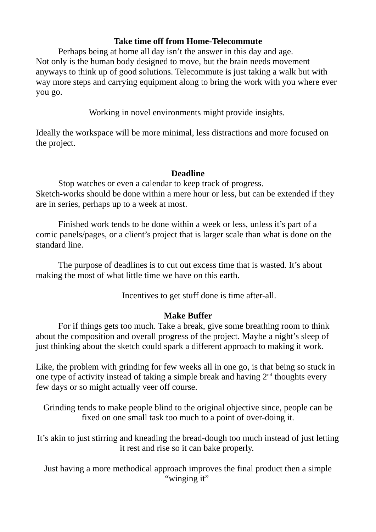### **Take time off from Home-Telecommute**

Perhaps being at home all day isn't the answer in this day and age. Not only is the human body designed to move, but the brain needs movement anyways to think up of good solutions. Telecommute is just taking a walk but with way more steps and carrying equipment along to bring the work with you where ever you go.

Working in novel environments might provide insights.

Ideally the workspace will be more minimal, less distractions and more focused on the project.

#### **Deadline**

Stop watches or even a calendar to keep track of progress. Sketch-works should be done within a mere hour or less, but can be extended if they are in series, perhaps up to a week at most.

Finished work tends to be done within a week or less, unless it's part of a comic panels/pages, or a client's project that is larger scale than what is done on the standard line.

The purpose of deadlines is to cut out excess time that is wasted. It's about making the most of what little time we have on this earth.

Incentives to get stuff done is time after-all.

## **Make Buffer**

For if things gets too much. Take a break, give some breathing room to think about the composition and overall progress of the project. Maybe a night's sleep of just thinking about the sketch could spark a different approach to making it work.

Like, the problem with grinding for few weeks all in one go, is that being so stuck in one type of activity instead of taking a simple break and having  $2<sup>nd</sup>$  thoughts every few days or so might actually veer off course.

Grinding tends to make people blind to the original objective since, people can be fixed on one small task too much to a point of over-doing it.

It's akin to just stirring and kneading the bread-dough too much instead of just letting it rest and rise so it can bake properly.

Just having a more methodical approach improves the final product then a simple "winging it"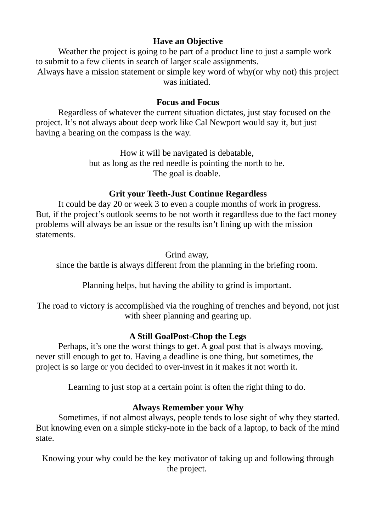## **Have an Objective**

Weather the project is going to be part of a product line to just a sample work to submit to a few clients in search of larger scale assignments.

Always have a mission statement or simple key word of why(or why not) this project was initiated.

#### **Focus and Focus**

Regardless of whatever the current situation dictates, just stay focused on the project. It's not always about deep work like Cal Newport would say it, but just having a bearing on the compass is the way.

> How it will be navigated is debatable, but as long as the red needle is pointing the north to be. The goal is doable.

#### **Grit your Teeth-Just Continue Regardless**

It could be day 20 or week 3 to even a couple months of work in progress. But, if the project's outlook seems to be not worth it regardless due to the fact money problems will always be an issue or the results isn't lining up with the mission statements.

#### Grind away,

since the battle is always different from the planning in the briefing room.

Planning helps, but having the ability to grind is important.

The road to victory is accomplished via the roughing of trenches and beyond, not just with sheer planning and gearing up.

#### **A Still GoalPost-Chop the Legs**

Perhaps, it's one the worst things to get. A goal post that is always moving, never still enough to get to. Having a deadline is one thing, but sometimes, the project is so large or you decided to over-invest in it makes it not worth it.

Learning to just stop at a certain point is often the right thing to do.

## **Always Remember your Why**

Sometimes, if not almost always, people tends to lose sight of why they started. But knowing even on a simple sticky-note in the back of a laptop, to back of the mind state.

Knowing your why could be the key motivator of taking up and following through the project.